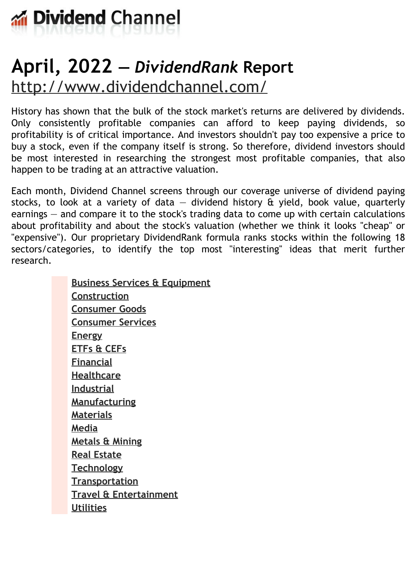

# **April, 2022 —** *DividendRank* **Report** <http://www.dividendchannel.com/>

History has shown that the bulk of the stock market's returns are delivered by dividends. Only consistently profitable companies can afford to keep paying dividends, so profitability is of critical importance. And investors shouldn't pay too expensive a price to buy a stock, even if the company itself is strong. So therefore, dividend investors should be most interested in researching the strongest most profitable companies, that also happen to be trading at an attractive valuation.

Each month, Dividend Channel screens through our coverage universe of dividend paying stocks, to look at a variety of data  $-$  dividend history  $\hat{a}$  yield, book value, quarterly earnings — and compare it to the stock's trading data to come up with certain calculations about profitability and about the stock's valuation (whether we think it looks ''cheap'' or "expensive"). Our proprietary DividendRank formula ranks stocks within the following 18 sectors/categories, to identify the top most ''interesting'' ideas that merit further research.

> **Business Services & [Equipment](file:///root/temp.html#l01) [Construction](file:///root/temp.html#l02) [Consumer](file:///root/temp.html#l03) Goods [Consumer](file:///root/temp.html#l04) Services [Energy](file:///root/temp.html#l05) [ETFs](file:///root/temp.html#l06) & CEFs [Financial](file:///root/temp.html#l07) [Healthcare](file:///root/temp.html#l08) [Industrial](file:///root/temp.html#l09) [Manufacturing](file:///root/temp.html#l10) [Materials](file:///root/temp.html#l11) [Media](file:///root/temp.html#l12) [Metals](file:///root/temp.html#l13) & Mining Real [Estate](file:///root/temp.html#l14) [Technology](file:///root/temp.html#l15) [Transportation](file:///root/temp.html#l16) Travel & [Entertainment](file:///root/temp.html#l17) [Utilities](file:///root/temp.html#l18)**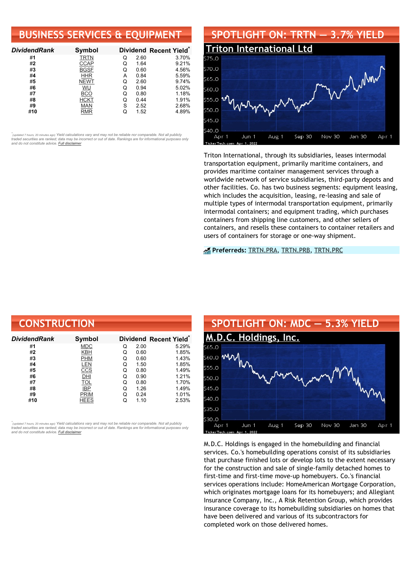# **BUSINESS SERVICES & EQUIPMENT**

| <b>DividendRank</b> | Symbol      |   |      | Dividend Recent Yield* |
|---------------------|-------------|---|------|------------------------|
| #1                  | <b>TRTN</b> | Q | 2.60 | 3.70%                  |
| #2                  | <b>CCAP</b> | Q | 1.64 | 9.21%                  |
| #3                  | <b>BGSF</b> | Q | 0.60 | 4.56%                  |
| #4                  | <b>HHR</b>  | А | 0.84 | 5.59%                  |
| #5                  | <b>NEWT</b> | Q | 2.60 | 9.74%                  |
| #6                  | WU          | Q | 0.94 | 5.02%                  |
| #7                  | BCO         | Q | 0.80 | 1.18%                  |
| #8                  | <b>HCKT</b> | Q | 0.44 | 1.91%                  |
| #9                  | <b>MAN</b>  | S | 2.52 | 2.68%                  |
| #10                 | RMR         |   | 1.52 | 4.89%                  |

•<br>"<sub>(updated 7 hours, 20 minutes ago) Yield calculations vary and may not be reliable nor comparable. Not all publicly<br>traded securities are ranked; data may be incorrect or out of date. Rankings are for informational purp</sub> *and do not constitute advice. Full [disclaimer](https://www.dividendchannel.com/disclaimer/)*



Triton International, through its subsidiaries, leases intermodal transportation equipment, primarily maritime containers, and provides maritime container management services through a worldwide network of service subsidiaries, third-party depots and other facilities. Co. has two business segments: equipment leasing, which includes the acquisition, leasing, re-leasing and sale of multiple types of intermodal transportation equipment, primarily intermodal containers; and equipment trading, which purchases containers from shipping line customers, and other sellers of containers, and resells these containers to container retailers and users of containers for storage or one-way shipment.

#### **Preferreds:** [TRTN.PRA](https://www.preferredstockchannel.com/symbol/trtn.pra/), [TRTN.PRB,](https://www.preferredstockchannel.com/symbol/trtn.prb/) [TRTN.PRC](https://www.preferredstockchannel.com/symbol/trtn.prc/)

| <b>CONSTRUCTION</b> |               |   |      |                                    |
|---------------------|---------------|---|------|------------------------------------|
| <b>DividendRank</b> | <b>Symbol</b> |   |      | Dividend Recent Yield <sup>®</sup> |
| #1                  | <b>MDC</b>    | Q | 2.00 | 5.29%                              |
| #2                  | <b>KBH</b>    | Q | 0.60 | 1.85%                              |
| #3                  | <b>PHM</b>    | Q | 0.60 | 1.43%                              |
| #4                  | LEN           | Q | 1.50 | 1.85%                              |
| #5                  | CCS           | Q | 0.80 | 1.49%                              |
| #6                  | DHI           | Q | 0.90 | 1.21%                              |
| #7                  | TOL           | Q | 0.80 | 1.70%                              |
| #8                  | <b>IBP</b>    | Q | 1.26 | 1.49%                              |
| #9                  | <b>PRIM</b>   | Q | 0.24 | 1.01%                              |
| #10                 | <b>HEES</b>   | Q | 1.10 | 2.53%                              |

*\** ated 7 hours, 20 minutes ago) Yield calculations vary and may not be reliable nor comparable. Not all publicly traded securities are ranked; data may be incorrect or out of date. Rankings are for informational purposes only *and do not constitute advice. Full [disclaimer](https://www.dividendchannel.com/disclaimer/)*



M.D.C. Holdings is engaged in the homebuilding and financial services. Co.'s homebuilding operations consist of its subsidiaries that purchase finished lots or develop lots to the extent necessary for the construction and sale of single-family detached homes to first-time and first-time move-up homebuyers. Co.'s financial services operations include: HomeAmerican Mortgage Corporation, which originates mortgage loans for its homebuyers; and Allegiant Insurance Company, Inc., A Risk Retention Group, which provides insurance coverage to its homebuilding subsidiaries on homes that have been delivered and various of its subcontractors for completed work on those delivered homes.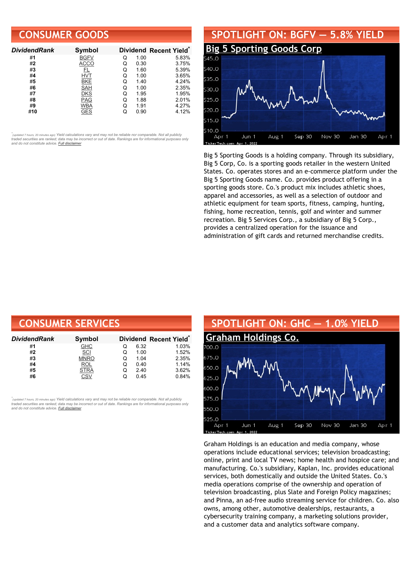## **CONSUMER GOODS**

| <b>DividendRank</b> | Symbol      |   |      | Dividend Recent Yield* |
|---------------------|-------------|---|------|------------------------|
| #1                  | <b>BGFV</b> | Q | 1.00 | 5.83%                  |
| #2                  | <b>ACCO</b> | Q | 0.30 | 3.75%                  |
| #3                  |             | Q | 1.60 | 5.39%                  |
| #4                  | <b>HVT</b>  | Q | 1.00 | 3.65%                  |
| #5                  | <b>BKE</b>  |   | 1.40 | 4.24%                  |
| #6                  | SAH         | O | 1.00 | 2.35%                  |
| #7                  | <b>DKS</b>  | Q | 1.95 | 1.95%                  |
| #8                  | <b>PAG</b>  | Q | 1.88 | 2.01%                  |
| #9                  | <b>WBA</b>  | Q | 1.91 | 4.27%                  |
| #10                 | GES         |   | 0.90 | 4.12%                  |

•<br>"<sub>(updated 7 hours, 20 minutes ago) Yield calculations vary and may not be reliable nor comparable. Not all publicly<br>traded securities are ranked; data may be incorrect or out of date. Rankings are for informational purp</sub> *and do not constitute advice. Full [disclaimer](https://www.dividendchannel.com/disclaimer/)*



Big 5 Sporting Goods is a holding company. Through its subsidiary, Big 5 Corp, Co. is a sporting goods retailer in the western United States. Co. operates stores and an e-commerce platform under the Big 5 Sporting Goods name. Co. provides product offering in a sporting goods store. Co.'s product mix includes athletic shoes, apparel and accessories, as well as a selection of outdoor and athletic equipment for team sports, fitness, camping, hunting, fishing, home recreation, tennis, golf and winter and summer recreation. Big 5 Services Corp., a subsidiary of Big 5 Corp., provides a centralized operation for the issuance and administration of gift cards and returned merchandise credits.

| <b>CONSUMER SERVICES</b> |             |   |      |                        |
|--------------------------|-------------|---|------|------------------------|
| DividendRank             | Symbol      |   |      | Dividend Recent Yield* |
| #1                       | <b>GHC</b>  | O | 6.32 | 1.03%                  |
| #2                       | SCI         | Q | 1.00 | 1.52%                  |
| #3                       | <b>MNRO</b> | Q | 1.04 | 2.35%                  |
| #4                       | <b>ROL</b>  | Q | 0.40 | 1.14%                  |
| #5                       | <b>STRA</b> | Q | 2.40 | 3.62%                  |
| #6                       | CSV         | Q | 0.45 | 0.84%                  |

,<br>"<sub>(updated 7 hours, 20 minutes ago) Yield calculations vary and may not be reliable nor comparable. Not all publicly<br>traded securities are ranked; data may be incorrect or out of date. Rankings are for informational purp</sub> *and do not constitute advice. Full [disclaimer](https://www.dividendchannel.com/disclaimer/)*



Graham Holdings is an education and media company, whose operations include educational services; television broadcasting; online, print and local TV news; home health and hospice care; and manufacturing. Co.'s subsidiary, Kaplan, Inc. provides educational services, both domestically and outside the United States. Co.'s media operations comprise of the ownership and operation of television broadcasting, plus Slate and Foreign Policy magazines; and Pinna, an ad-free audio streaming service for children. Co. also owns, among other, automotive dealerships, restaurants, a cybersecurity training company, a marketing solutions provider, and a customer data and analytics software company.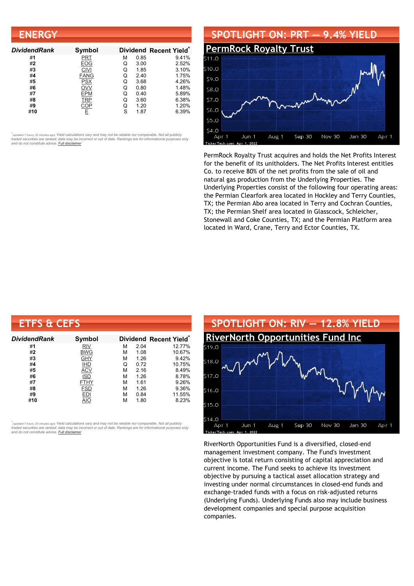| <b>ENERGY</b>       |             |   |      |                        |
|---------------------|-------------|---|------|------------------------|
| <b>DividendRank</b> | Symbol      |   |      | Dividend Recent Yield* |
| #1                  | <b>PRT</b>  | м | 0.85 | 9.41%                  |
| #2                  | EOG         | Q | 3.00 | 2.52%                  |
| #3                  | <b>CIVI</b> | Q | 1.85 | 3.10%                  |
| #4                  | <b>FANG</b> | Q | 2.40 | 1.75%                  |
| #5                  | <b>PSX</b>  | Q | 3.68 | 4.26%                  |
| #6                  | OVV         | Q | 0.80 | 1.48%                  |
| #7                  | EPM         | Q | 0.40 | 5.89%                  |
| #8                  | <b>TRP</b>  | Q | 3.60 | 6.38%                  |
| #9                  | COP         | Q | 1.20 | 1.20%                  |
| #10                 | Ε           | S | 1.87 | 6.39%                  |

#### **SPOTLIGHT ON: PRT — 9.4% YIELD [PermRock](http://www.dividendchannel.com/symbol/prt/) Royalty Trust** \$10.0 \$9.0 \$8.0 \$7.0 \$6.0  $550$ \$4.0 Jun 1 Aug 1 Sep 30 Nov 30 Jan 30 Apr 1 Apr 1

PermRock Royalty Trust acquires and holds the Net Profits Interest for the benefit of its unitholders. The Net Profits Interest entitles Co. to receive 80% of the net profits from the sale of oil and natural gas production from the Underlying Properties. The Underlying Properties consist of the following four operating areas: the Permian Clearfork area located in Hockley and Terry Counties, TX; the Permian Abo area located in Terry and Cochran Counties, TX; the Permian Shelf area located in Glasscock, Schleicher, Stonewall and Coke Counties, TX; and the Permian Platform area located in Ward, Crane, Terry and Ector Counties, TX.

| <b>ETFS &amp; CEFS</b> |             |   |      |                        |
|------------------------|-------------|---|------|------------------------|
| <b>DividendRank</b>    | Symbol      |   |      | Dividend Recent Yield* |
| #1                     | <b>RIV</b>  | м | 2.04 | 12.77%                 |
| #2                     | <b>BWG</b>  | м | 1.08 | 10.67%                 |
| #3                     | GHY         | М | 1.26 | 9.42%                  |
| #4                     | <b>IHD</b>  | Q | 0.72 | 10.75%                 |
| #5                     | <b>ACV</b>  | м | 2.16 | 8.49%                  |
| #6                     | <b>ISD</b>  | М | 1.26 | 8.78%                  |
| #7                     | <b>FTHY</b> | М | 1.61 | 9.26%                  |
| #8                     | <b>FSD</b>  | М | 1.26 | 9.36%                  |
| #9                     | <b>EDI</b>  | м | 0.84 | 11.55%                 |
| #10                    | AIO         | м | 1.80 | 8.23%                  |

*\** ated 7 hours, 20 minutes ago) Yield calculations vary and may not be reliable nor comparable. Not all publicly traded securities are ranked; data may be incorrect or out of date. Rankings are for informational purposes only *and do not constitute advice. Full [disclaimer](https://www.dividendchannel.com/disclaimer/)*



RiverNorth Opportunities Fund is a diversified, closed-end management investment company. The Fund's investment objective is total return consisting of capital appreciation and current income. The Fund seeks to achieve its investment objective by pursuing a tactical asset allocation strategy and investing under normal circumstances in closed-end funds and exchange-traded funds with a focus on risk-adjusted returns (Underlying Funds). Underlying Funds also may include business development companies and special purpose acquisition companies.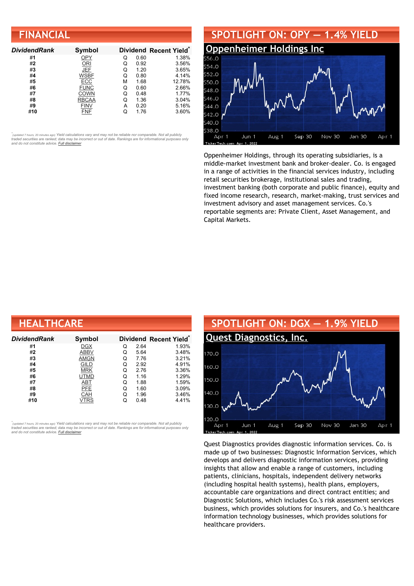| <b>FINANCIAL</b> |  |  |
|------------------|--|--|
|                  |  |  |
|                  |  |  |

| <b>DividendRank</b> | Symbol       |   |      | Dividend Recent Yield* |
|---------------------|--------------|---|------|------------------------|
| #1                  | OPY          | Q | 0.60 | 1.38%                  |
| #2                  | ORI          | Q | 0.92 | 3.56%                  |
| #3                  | JEF          | Q | 1.20 | 3.65%                  |
| #4                  | <b>WSBF</b>  | Q | 0.80 | 4.14%                  |
| #5                  | ECC          | м | 1.68 | 12.78%                 |
| #6                  | <b>FUNC</b>  | Q | 0.60 | 2.66%                  |
| #7                  | COWN         | Q | 0.48 | 1.77%                  |
| #8                  | <b>RBCAA</b> | Q | 1.36 | 3.04%                  |
| #9                  | <b>FINV</b>  | А | 0.20 | 5.16%                  |
| #10                 | FNF          |   | 1.76 | 3.60%                  |



Oppenheimer Holdings, through its operating subsidiaries, is a middle-market investment bank and broker-dealer. Co. is engaged in a range of activities in the financial services industry, including retail securities brokerage, institutional sales and trading, investment banking (both corporate and public finance), equity and fixed income research, research, market-making, trust services and investment advisory and asset management services. Co.'s reportable segments are: Private Client, Asset Management, and Capital Markets.

| <b>HEALTHCARE</b> |             |   |      |                                    |  |  |
|-------------------|-------------|---|------|------------------------------------|--|--|
| Dividend Rank     | Symbol      |   |      | Dividend Recent Yield <sup>®</sup> |  |  |
| #1                | <b>DGX</b>  | Q | 2.64 | 1.93%                              |  |  |
| #2                | <b>ABBV</b> | Q | 5.64 | 3.48%                              |  |  |
| #3                | <b>AMGN</b> | Q | 7.76 | 3.21%                              |  |  |
| #4                | GILD        | Q | 2.92 | 4.91%                              |  |  |
| #5                | <b>MRK</b>  | Q | 2.76 | 3.36%                              |  |  |
| #6                | UTMD        | Q | 1.16 | 1.29%                              |  |  |
| #7                | <b>ABT</b>  | Q | 1.88 | 1.59%                              |  |  |
| #8                | PFE         | Q | 1.60 | 3.09%                              |  |  |
| #9                | CAH         | Q | 1.96 | 3.46%                              |  |  |
| #10               | VTRS        | Q | 0.48 | 4.41%                              |  |  |

*\** ated 7 hours, 20 minutes ago) Yield calculations vary and may not be reliable nor comparable. Not all publicly traded securities are ranked; data may be incorrect or out of date. Rankings are for informational purposes only *and do not constitute advice. Full [disclaimer](https://www.dividendchannel.com/disclaimer/)*



Quest Diagnostics provides diagnostic information services. Co. is made up of two businesses: Diagnostic Information Services, which develops and delivers diagnostic information services, providing insights that allow and enable a range of customers, including patients, clinicians, hospitals, independent delivery networks (including hospital health systems), health plans, employers, accountable care organizations and direct contract entities; and Diagnostic Solutions, which includes Co.'s risk assessment services business, which provides solutions for insurers, and Co.'s healthcare information technology businesses, which provides solutions for healthcare providers.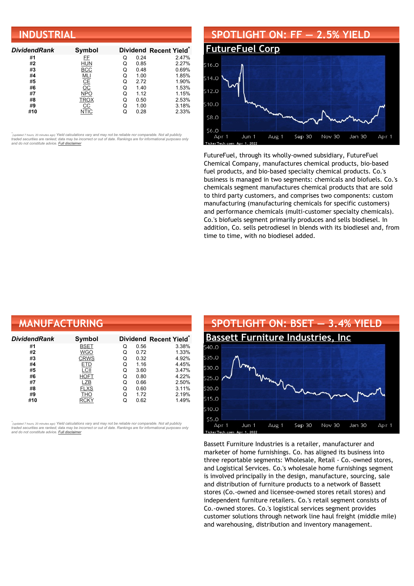| <b>INDUSTRIAL</b>   |               |   |      |                                    |  |  |
|---------------------|---------------|---|------|------------------------------------|--|--|
| <b>DividendRank</b> | Symbol        |   |      | Dividend Recent Yield <sup>®</sup> |  |  |
| #1                  | FF.           | Q | 0.24 | 2.47%                              |  |  |
| #2                  | <b>HUN</b>    | Q | 0.85 | 2.27%                              |  |  |
| #3                  | <b>BCC</b>    | Q | 0.48 | 0.69%                              |  |  |
| #4                  | <u>MLI</u>    | Q | 1.00 | 1.85%                              |  |  |
| #5                  | $rac{CE}{OC}$ | Q | 2.72 | 1.90%                              |  |  |
| #6                  |               | Q | 1.40 | 1.53%                              |  |  |
| #7                  | <b>NPO</b>    | Q | 1.12 | 1.15%                              |  |  |
| #8                  | <b>TROX</b>   | Q | 0.50 | 2.53%                              |  |  |
| #9                  | CС            | Q | 1.00 | 3.18%                              |  |  |
| #10                 | <b>NTIC</b>   | Q | 0.28 | 2.33%                              |  |  |

#### **SPOTLIGHT ON: FF — 2.5% YIELD [FutureFuel](http://www.dividendchannel.com/symbol/ff/) Corp** \$16.0  $514.0$  $5120$ \$10.0 \$8.0 56.0 Aug 1 Sep 30 Nov 30 Jan 30 Apr 1 Apr 1 Jun 1

FutureFuel, through its wholly-owned subsidiary, FutureFuel Chemical Company, manufactures chemical products, bio-based fuel products, and bio-based specialty chemical products. Co.'s business is managed in two segments: chemicals and biofuels. Co.'s chemicals segment manufactures chemical products that are sold to third party customers, and comprises two components: custom manufacturing (manufacturing chemicals for specific customers) and performance chemicals (multi-customer specialty chemicals). Co.'s biofuels segment primarily produces and sells biodiesel. In addition, Co. sells petrodiesel in blends with its biodiesel and, from time to time, with no biodiesel added.

| <b>MANUFACTURING</b> |               |   |      |                        |
|----------------------|---------------|---|------|------------------------|
| DividendRank         | <b>Symbol</b> |   |      | Dividend Recent Yield* |
| #1                   | <b>BSET</b>   | Q | 0.56 | 3.38%                  |
| #2                   | <b>WGO</b>    | Q | 0.72 | 1.33%                  |
| #3                   | <b>CRWS</b>   | Q | 0.32 | 4.92%                  |
| #4                   | <b>ETD</b>    | Q | 1.16 | 4.45%                  |
| #5                   | LCII          | Q | 3.60 | 3.47%                  |
| #6                   | <b>HOFT</b>   | Q | 0.80 | 4.22%                  |
| #7                   | LZB           | Q | 0.66 | 2.50%                  |
| #8                   | <b>FLXS</b>   | Q | 0.60 | 3.11%                  |
| #9                   | THO           | Q | 1.72 | 2.19%                  |
| #10                  | <b>RCKY</b>   | Q | 0.62 | 1.49%                  |

*\** ated 7 hours, 20 minutes ago) Yield calculations vary and may not be reliable nor comparable. Not all publicly traded securities are ranked; data may be incorrect or out of date. Rankings are for informational purposes only *and do not constitute advice. Full [disclaimer](https://www.dividendchannel.com/disclaimer/)*



Bassett Furniture Industries is a retailer, manufacturer and marketer of home furnishings. Co. has aligned its business into three reportable segments: Wholesale, Retail - Co.-owned stores, and Logistical Services. Co.'s wholesale home furnishings segment is involved principally in the design, manufacture, sourcing, sale and distribution of furniture products to a network of Bassett stores (Co.-owned and licensee-owned stores retail stores) and independent furniture retailers. Co.'s retail segment consists of Co.-owned stores. Co.'s logistical services segment provides customer solutions through network line haul freight (middle mile) and warehousing, distribution and inventory management.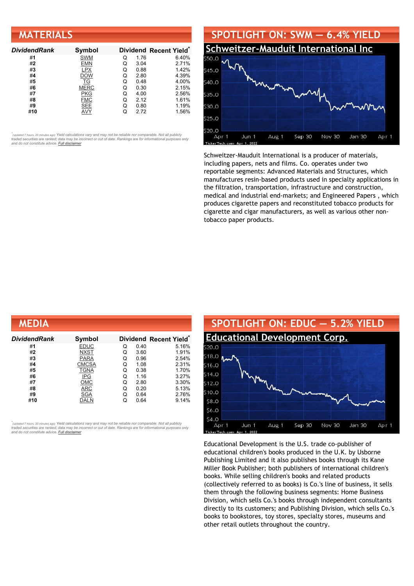| <b>MATERIALS</b>    |             |   |      |                        |
|---------------------|-------------|---|------|------------------------|
| <b>DividendRank</b> | Symbol      |   |      | Dividend Recent Yield* |
| #1                  | <b>SWM</b>  | Q | 1.76 | 6.40%                  |
| #2                  | <b>EMN</b>  | Q | 3.04 | 2.71%                  |
| #3                  | <b>LPX</b>  | Q | 0.88 | 1.42%                  |
| #4                  | <b>DOW</b>  | Q | 2.80 | 4.39%                  |
| #5                  | TG          | Q | 0.48 | 4.00%                  |
| #6                  | <b>MERC</b> | Q | 0.30 | 2.15%                  |
| #7                  | PKG         | Q | 4.00 | 2.56%                  |
| #8                  | <b>FMC</b>  | Q | 2.12 | 1.61%                  |
| #9                  | <b>SEE</b>  | Q | 0.80 | 1.19%                  |
| #10                 | AVY         | Q | 2.72 | 1.56%                  |



Schweitzer-Mauduit International is a producer of materials, including papers, nets and films. Co. operates under two reportable segments: Advanced Materials and Structures, which manufactures resin-based products used in specialty applications in the filtration, transportation, infrastructure and construction, medical and industrial end-markets; and Engineered Papers , which produces cigarette papers and reconstituted tobacco products for cigarette and cigar manufacturers, as well as various other nontobacco paper products.

| <b>MEDIA</b>  |              |   |      |                                    |
|---------------|--------------|---|------|------------------------------------|
| Dividend Rank | Symbol       |   |      | Dividend Recent Yield <sup>®</sup> |
| #1            | <b>EDUC</b>  | Q | 0.40 | 5.16%                              |
| #2            | <b>NXST</b>  | Q | 3.60 | 1.91%                              |
| #3            | <b>PARA</b>  | Q | 0.96 | 2.54%                              |
| #4            | <b>CMCSA</b> | Q | 1.08 | 2.31%                              |
| #5            | <b>TGNA</b>  | Q | 0.38 | 1.70%                              |
| #6            | <b>IPG</b>   | Q | 1.16 | 3.27%                              |
| #7            | OMC          | Q | 2.80 | 3.30%                              |
| #8            | <b>ARC</b>   | Q | 0.20 | 5.13%                              |
| #9            | SGA          | Q | 0.64 | 2.76%                              |
| #10           | DALN         | Q | 0.64 | 9.14%                              |

*\** ated 7 hours, 20 minutes ago) Yield calculations vary and may not be reliable nor comparable. Not all publicly traded securities are ranked; data may be incorrect or out of date. Rankings are for informational purposes only *and do not constitute advice. Full [disclaimer](https://www.dividendchannel.com/disclaimer/)*



Educational Development is the U.S. trade co-publisher of educational children's books produced in the U.K. by Usborne Publishing Limited and it also publishes books through its Kane Miller Book Publisher; both publishers of international children's books. While selling children's books and related products (collectively referred to as books) is Co.'s line of business, it sells them through the following business segments: Home Business Division, which sells Co.'s books through independent consultants directly to its customers; and Publishing Division, which sells Co.'s books to bookstores, toy stores, specialty stores, museums and other retail outlets throughout the country.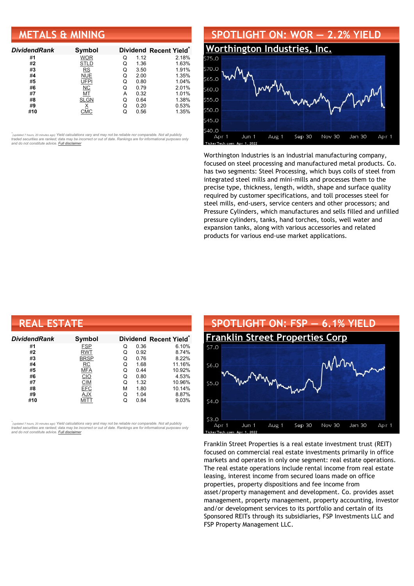## **METALS & MINING**

| <b>DividendRank</b> | Symbol      |   |      | Dividend Recent Yield* |
|---------------------|-------------|---|------|------------------------|
| #1                  | <b>WOR</b>  | Q | 1.12 | 2.18%                  |
| #2                  | <b>STLD</b> | Q | 1.36 | 1.63%                  |
| #3                  | <b>RS</b>   | Q | 3.50 | 1.91%                  |
| #4                  | <b>NUE</b>  | Q | 2.00 | 1.35%                  |
| #5                  | UFPI        | Q | 0.80 | 1.04%                  |
| #6                  | <b>NC</b>   | Q | 0.79 | 2.01%                  |
| #7                  | MT          | А | 0.32 | 1.01%                  |
| #8                  | <b>SLGN</b> | Q | 0.64 | 1.38%                  |
| #9                  |             | O | 0.20 | 0.53%                  |
| #10                 |             |   | 0.56 | 1.35%                  |

•<br>"<sub>(updated 7 hours, 20 minutes ago) Yield calculations vary and may not be reliable nor comparable. Not all publicly<br>traded securities are ranked; data may be incorrect or out of date. Rankings are for informational purp</sub> *and do not constitute advice. Full [disclaimer](https://www.dividendchannel.com/disclaimer/)*



Worthington Industries is an industrial manufacturing company, focused on steel processing and manufactured metal products. Co. has two segments: Steel Processing, which buys coils of steel from integrated steel mills and mini-mills and processes them to the precise type, thickness, length, width, shape and surface quality required by customer specifications, and toll processes steel for steel mills, end-users, service centers and other processors; and Pressure Cylinders, which manufactures and sells filled and unfilled pressure cylinders, tanks, hand torches, tools, well water and expansion tanks, along with various accessories and related products for various end-use market applications.

| <b>REAL ESTATE</b> |             |   |      |                                    |  |  |
|--------------------|-------------|---|------|------------------------------------|--|--|
| Dividend Rank      | Symbol      |   |      | Dividend Recent Yield <sup>®</sup> |  |  |
| #1                 | <b>FSP</b>  | Q | 0.36 | 6.10%                              |  |  |
| #2                 | <b>RWT</b>  | Q | 0.92 | 8.74%                              |  |  |
| #3                 | <b>BRSP</b> | Q | 0.76 | 8.22%                              |  |  |
| #4                 | RC          | Q | 1.68 | 11.16%                             |  |  |
| #5                 | <b>MFA</b>  | Q | 0.44 | 10.92%                             |  |  |
| #6                 | CIO         | Q | 0.80 | 4.53%                              |  |  |
| #7                 | <b>CIM</b>  | Q | 1.32 | 10.96%                             |  |  |
| #8                 | <b>EFC</b>  | М | 1.80 | 10.14%                             |  |  |
| #9                 | <b>AJX</b>  | Q | 1.04 | 8.87%                              |  |  |
| #10                | MITT        | Q | 0.84 | 9.03%                              |  |  |

*\** ated 7 hours, 20 minutes ago) Yield calculations vary and may not be reliable nor comparable. Not all publicly traded securities are ranked; data may be incorrect or out of date. Rankings are for informational purposes only *and do not constitute advice. Full [disclaimer](https://www.dividendchannel.com/disclaimer/)*



Franklin Street Properties is a real estate investment trust (REIT) focused on commercial real estate investments primarily in office markets and operates in only one segment: real estate operations. The real estate operations include rental income from real estate leasing, interest income from secured loans made on office properties, property dispositions and fee income from asset/property management and development. Co. provides asset management, property management, property accounting, investor and/or development services to its portfolio and certain of its Sponsored REITs through its subsidiaries, FSP Investments LLC and FSP Property Management LLC.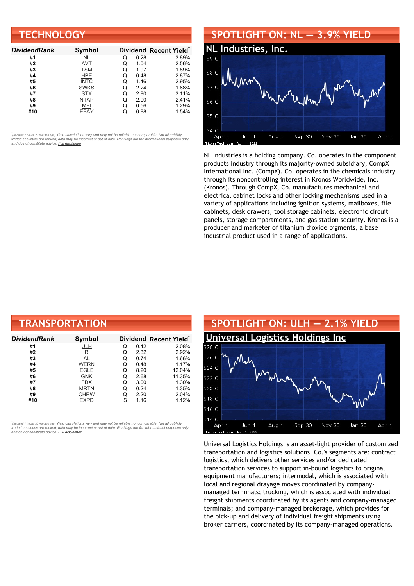| <b>TECHNOLOGY</b>   |             |   |      |                        |  |
|---------------------|-------------|---|------|------------------------|--|
| <b>DividendRank</b> | Symbol      |   |      | Dividend Recent Yield* |  |
| #1                  | NL          | Q | 0.28 | 3.89%                  |  |
| #2                  | <b>AVT</b>  | Q | 1.04 | 2.56%                  |  |
| #3                  | <b>TSM</b>  | Q | 1.97 | 1.89%                  |  |
| #4                  | <b>HPE</b>  | Q | 0.48 | 2.87%                  |  |
| #5                  | <b>INTC</b> | Q | 1.46 | 2.95%                  |  |
| #6                  | <b>SWKS</b> | Q | 2.24 | 1.68%                  |  |
| #7                  | <b>STX</b>  | Q | 2.80 | 3.11%                  |  |
| #8                  | <b>NTAP</b> | Q | 2.00 | 2.41%                  |  |
| #9                  | MEI         | Q | 0.56 | 1.29%                  |  |
| #10                 | EBAY        | Q | 0.88 | 1.54%                  |  |

#### **SPOTLIGHT ON: NL — 3.9% YIELD NL [Industries,](http://www.dividendchannel.com/symbol/nl/) Inc.**  $59C$ \$8.0  $57.0$ \$6.0  $$5.0$ \$4.0 Jun 1 Aug 1 Sep 30 Nov 30 Jan 30 Apr 1 Apr 1

NL Industries is a holding company. Co. operates in the component products industry through its majority-owned subsidiary, CompX International Inc. (CompX). Co. operates in the chemicals industry through its noncontrolling interest in Kronos Worldwide, Inc. (Kronos). Through CompX, Co. manufactures mechanical and electrical cabinet locks and other locking mechanisms used in a variety of applications including ignition systems, mailboxes, file cabinets, desk drawers, tool storage cabinets, electronic circuit panels, storage compartments, and gas station security. Kronos is a producer and marketer of titanium dioxide pigments, a base industrial product used in a range of applications.

| <b>TRANSPORTATION</b> |             |   |      |                        |  |  |
|-----------------------|-------------|---|------|------------------------|--|--|
| DividendRank          | Symbol      |   |      | Dividend Recent Yield* |  |  |
| #1                    | <b>ULH</b>  | Q | 0.42 | 2.08%                  |  |  |
| #2                    | $\mathbf R$ | Q | 2.32 | 2.92%                  |  |  |
| #3                    | AL          | Q | 0.74 | 1.66%                  |  |  |
| #4                    | <b>WERN</b> | Q | 0.48 | 1.17%                  |  |  |
| #5                    | <b>EGLE</b> | Q | 8.20 | 12.04%                 |  |  |
| #6                    | GNK         | Q | 2.68 | 11.35%                 |  |  |
| #7                    | <b>FDX</b>  | Q | 3.00 | 1.30%                  |  |  |
| #8                    | <b>MRTN</b> | Q | 0.24 | 1.35%                  |  |  |
| #9                    | CHRW        | Q | 2.20 | 2.04%                  |  |  |
| #10                   | EXPD        | S | 1.16 | 1.12%                  |  |  |

*\** ated 7 hours, 20 minutes ago) Yield calculations vary and may not be reliable nor comparable. Not all publicly traded securities are ranked; data may be incorrect or out of date. Rankings are for informational purposes only *and do not constitute advice. Full [disclaimer](https://www.dividendchannel.com/disclaimer/)*



Universal Logistics Holdings is an asset-light provider of customized transportation and logistics solutions. Co.'s segments are: contract logistics, which delivers other services and/or dedicated transportation services to support in-bound logistics to original equipment manufacturers; intermodal, which is associated with local and regional drayage moves coordinated by companymanaged terminals; trucking, which is associated with individual freight shipments coordinated by its agents and company-managed terminals; and company-managed brokerage, which provides for the pick-up and delivery of individual freight shipments using broker carriers, coordinated by its company-managed operations.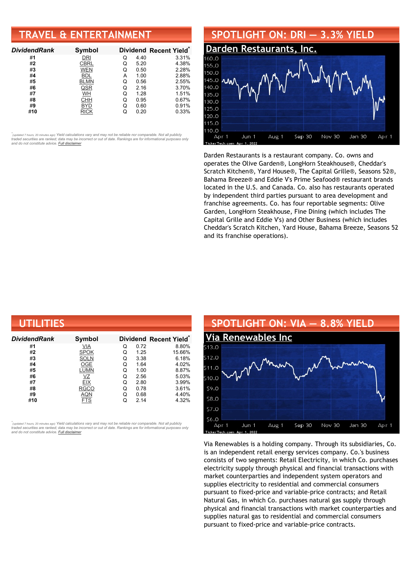# **TRAVEL & ENTERTAINMENT**

| <b>DividendRank</b> | Symbol      |   |      | Dividend Recent Yield* |
|---------------------|-------------|---|------|------------------------|
| #1                  | DRI         | Q | 4.40 | 3.31%                  |
| #2                  | CBRL        | Q | 5.20 | 4.38%                  |
| #3                  | <b>WEN</b>  | Q | 0.50 | 2.28%                  |
| #4                  | BDL         | А | 1.00 | 2.88%                  |
| #5                  | <b>BLMN</b> | Q | 0.56 | 2.55%                  |
| #6                  | QSR         | Q | 2.16 | 3.70%                  |
| #7                  | WH          | Q | 1.28 | 1.51%                  |
| #8                  | <b>CHH</b>  | Q | 0.95 | 0.67%                  |
| #9                  | BYD         | Q | 0.60 | 0.91%                  |
| #10                 | <b>RICK</b> |   | 0.20 | 0.33%                  |

•<br>"<sub>(updated 7 hours, 20 minutes ago) Yield calculations vary and may not be reliable nor comparable. Not all publicly<br>traded securities are ranked; data may be incorrect or out of date. Rankings are for informational purp</sub> *and do not constitute advice. Full [disclaimer](https://www.dividendchannel.com/disclaimer/)*



Darden Restaurants is a restaurant company. Co. owns and operates the Olive Garden®, LongHorn Steakhouse®, Cheddar's Scratch Kitchen®, Yard House®, The Capital Grille®, Seasons 52®, Bahama Breeze® and Eddie V's Prime Seafood® restaurant brands located in the U.S. and Canada. Co. also has restaurants operated by independent third parties pursuant to area development and franchise agreements. Co. has four reportable segments: Olive Garden, LongHorn Steakhouse, Fine Dining (which includes The Capital Grille and Eddie V's) and Other Business (which includes Cheddar's Scratch Kitchen, Yard House, Bahama Breeze, Seasons 52 and its franchise operations).

| UTILITIES    |             |   |      |                                    |  |  |
|--------------|-------------|---|------|------------------------------------|--|--|
| DividendRank | Symbol      |   |      | Dividend Recent Yield <sup>®</sup> |  |  |
| #1           | VIA         | O | 0.72 | 8.80%                              |  |  |
| #2           | <b>SPOK</b> | Q | 1.25 | 15.66%                             |  |  |
| #3           | <b>SOLN</b> | Q | 3.38 | 6.18%                              |  |  |
| #4           | OGE         | Q | 1.64 | 4.02%                              |  |  |
| #5           | LUMN        | Q | 1.00 | 8.87%                              |  |  |
| #6           | VZ          | Q | 2.56 | 5.03%                              |  |  |
| #7           | <b>EIX</b>  | Q | 2.80 | 3.99%                              |  |  |
| #8           | <b>RGCO</b> | Q | 0.78 | 3.61%                              |  |  |
| #9           | <b>AQN</b>  | Q | 0.68 | 4.40%                              |  |  |
| #10          | <b>FTS</b>  | Q | 2.14 | 4.32%                              |  |  |

*\** ated 7 hours, 20 minutes ago) Yield calculations vary and may not be reliable nor comparable. Not all publicly traded securities are ranked; data may be incorrect or out of date. Rankings are for informational purposes only *and do not constitute advice. Full [disclaimer](https://www.dividendchannel.com/disclaimer/)*



Via Renewables is a holding company. Through its subsidiaries, Co. is an independent retail energy services company. Co.'s business consists of two segments: Retail Electricity, in which Co. purchases electricity supply through physical and financial transactions with market counterparties and independent system operators and supplies electricity to residential and commercial consumers pursuant to fixed-price and variable-price contracts; and Retail Natural Gas, in which Co. purchases natural gas supply through physical and financial transactions with market counterparties and supplies natural gas to residential and commercial consumers pursuant to fixed-price and variable-price contracts.